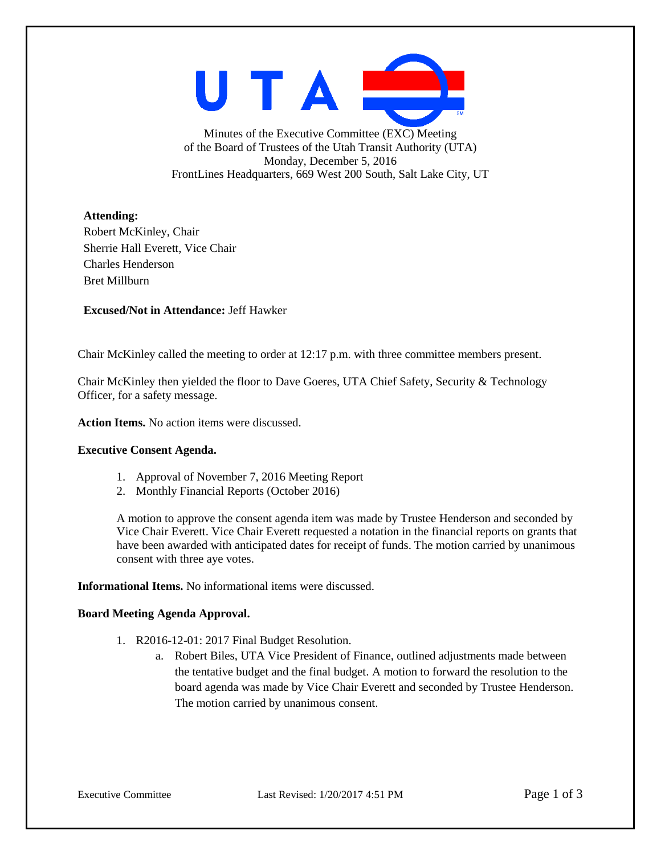UTAI

Minutes of the Executive Committee (EXC) Meeting of the Board of Trustees of the Utah Transit Authority (UTA) Monday, December 5, 2016 FrontLines Headquarters, 669 West 200 South, Salt Lake City, UT

**Attending:**

Robert McKinley, Chair Sherrie Hall Everett, Vice Chair Charles Henderson Bret Millburn

**Excused/Not in Attendance:** Jeff Hawker

Chair McKinley called the meeting to order at 12:17 p.m. with three committee members present.

Chair McKinley then yielded the floor to Dave Goeres, UTA Chief Safety, Security & Technology Officer, for a safety message.

**Action Items.** No action items were discussed.

## **Executive Consent Agenda.**

- 1. Approval of November 7, 2016 Meeting Report
- 2. Monthly Financial Reports (October 2016)

A motion to approve the consent agenda item was made by Trustee Henderson and seconded by Vice Chair Everett. Vice Chair Everett requested a notation in the financial reports on grants that have been awarded with anticipated dates for receipt of funds. The motion carried by unanimous consent with three aye votes.

**Informational Items.** No informational items were discussed.

## **Board Meeting Agenda Approval.**

- 1. R2016-12-01: 2017 Final Budget Resolution.
	- a. Robert Biles, UTA Vice President of Finance, outlined adjustments made between the tentative budget and the final budget. A motion to forward the resolution to the board agenda was made by Vice Chair Everett and seconded by Trustee Henderson. The motion carried by unanimous consent.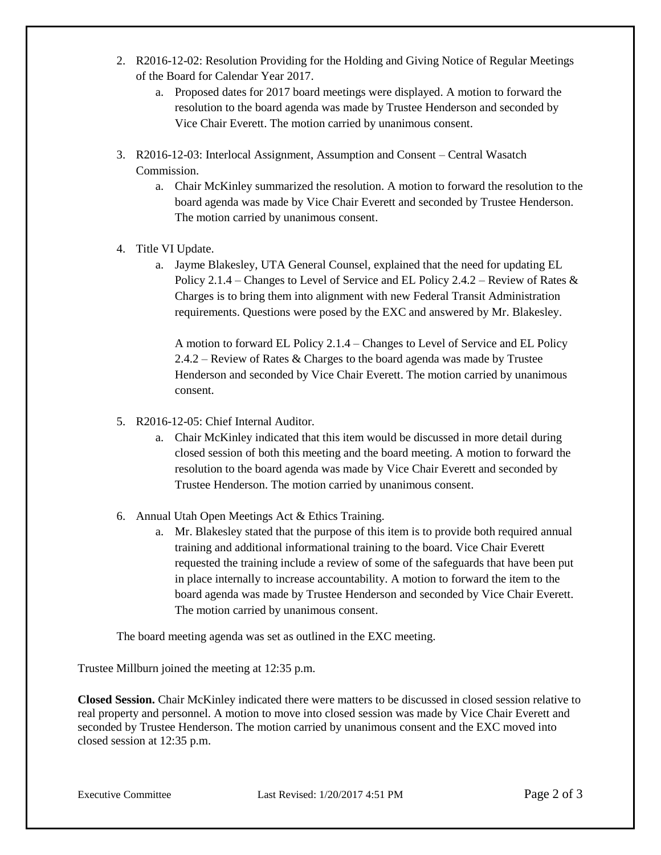- 2. R2016-12-02: Resolution Providing for the Holding and Giving Notice of Regular Meetings of the Board for Calendar Year 2017.
	- a. Proposed dates for 2017 board meetings were displayed. A motion to forward the resolution to the board agenda was made by Trustee Henderson and seconded by Vice Chair Everett. The motion carried by unanimous consent.
- 3. R2016-12-03: Interlocal Assignment, Assumption and Consent Central Wasatch Commission.
	- a. Chair McKinley summarized the resolution. A motion to forward the resolution to the board agenda was made by Vice Chair Everett and seconded by Trustee Henderson. The motion carried by unanimous consent.
- 4. Title VI Update.
	- a. Jayme Blakesley, UTA General Counsel, explained that the need for updating EL Policy 2.1.4 – Changes to Level of Service and EL Policy 2.4.2 – Review of Rates & Charges is to bring them into alignment with new Federal Transit Administration requirements. Questions were posed by the EXC and answered by Mr. Blakesley.

A motion to forward EL Policy 2.1.4 – Changes to Level of Service and EL Policy 2.4.2 – Review of Rates & Charges to the board agenda was made by Trustee Henderson and seconded by Vice Chair Everett. The motion carried by unanimous consent.

- 5. R2016-12-05: Chief Internal Auditor.
	- a. Chair McKinley indicated that this item would be discussed in more detail during closed session of both this meeting and the board meeting. A motion to forward the resolution to the board agenda was made by Vice Chair Everett and seconded by Trustee Henderson. The motion carried by unanimous consent.
- 6. Annual Utah Open Meetings Act & Ethics Training.
	- a. Mr. Blakesley stated that the purpose of this item is to provide both required annual training and additional informational training to the board. Vice Chair Everett requested the training include a review of some of the safeguards that have been put in place internally to increase accountability. A motion to forward the item to the board agenda was made by Trustee Henderson and seconded by Vice Chair Everett. The motion carried by unanimous consent.

The board meeting agenda was set as outlined in the EXC meeting.

Trustee Millburn joined the meeting at 12:35 p.m.

**Closed Session.** Chair McKinley indicated there were matters to be discussed in closed session relative to real property and personnel. A motion to move into closed session was made by Vice Chair Everett and seconded by Trustee Henderson. The motion carried by unanimous consent and the EXC moved into closed session at 12:35 p.m.